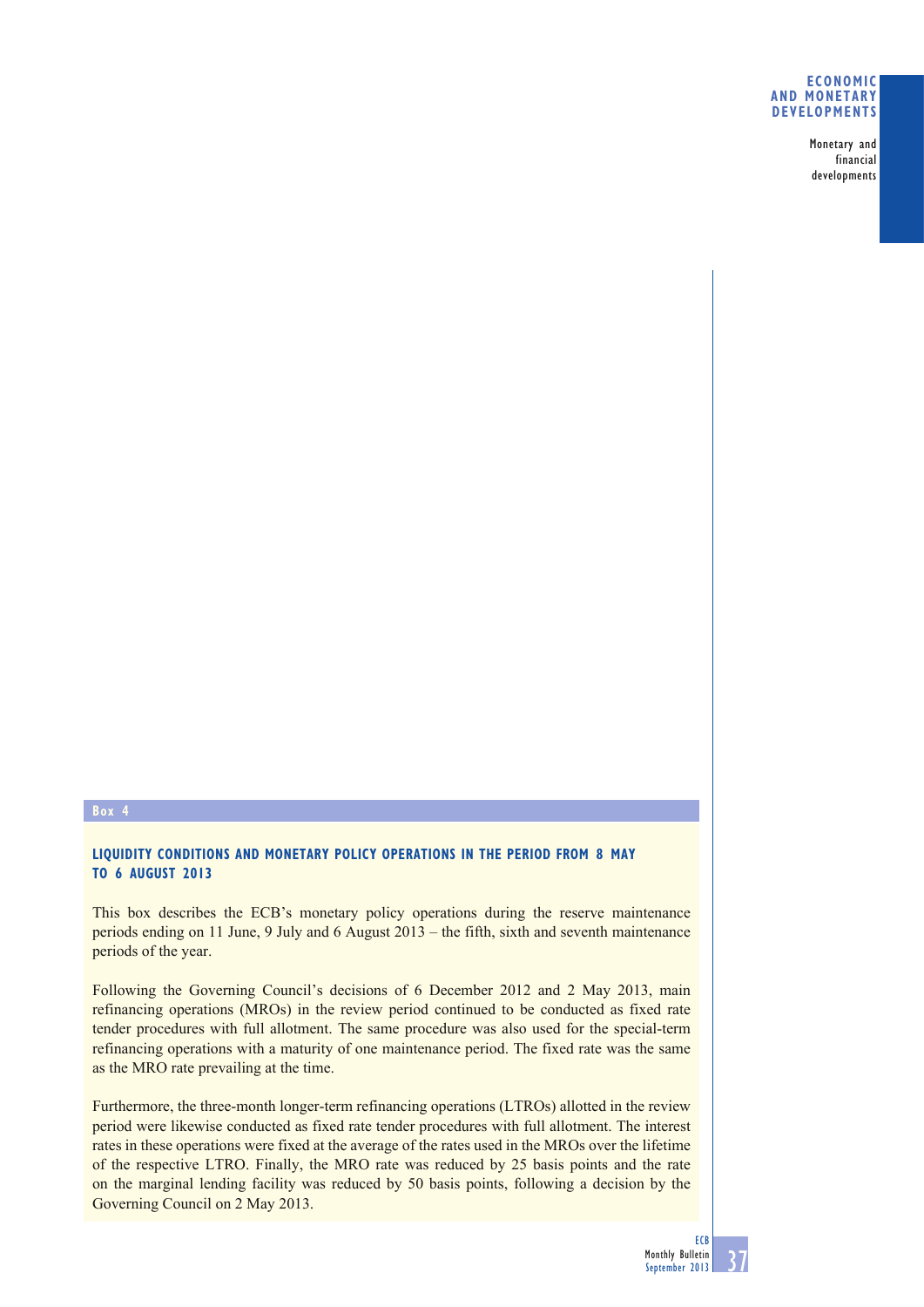## **ECONOMIC AND MONETARY DEVELOPMENTS**

Monetary and financial developments

# **Box 4**

# **LIQUIDITY CONDITIONS AND MONETARY POLICY OPERATIONS IN THE PERIOD FROM 8 MAY TO 6 AUGUST 2013**

This box describes the ECB's monetary policy operations during the reserve maintenance periods ending on 11 June, 9 July and 6 August 2013 – the fifth, sixth and seventh maintenance periods of the year.

Following the Governing Council's decisions of 6 December 2012 and 2 May 2013, main refinancing operations (MROs) in the review period continued to be conducted as fixed rate tender procedures with full allotment. The same procedure was also used for the special-term refinancing operations with a maturity of one maintenance period. The fixed rate was the same as the MRO rate prevailing at the time.

Furthermore, the three-month longer-term refinancing operations (LTROs) allotted in the review period were likewise conducted as fixed rate tender procedures with full allotment. The interest rates in these operations were fixed at the average of the rates used in the MROs over the lifetime of the respective LTRO. Finally, the MRO rate was reduced by 25 basis points and the rate on the marginal lending facility was reduced by 50 basis points, following a decision by the Governing Council on 2 May 2013.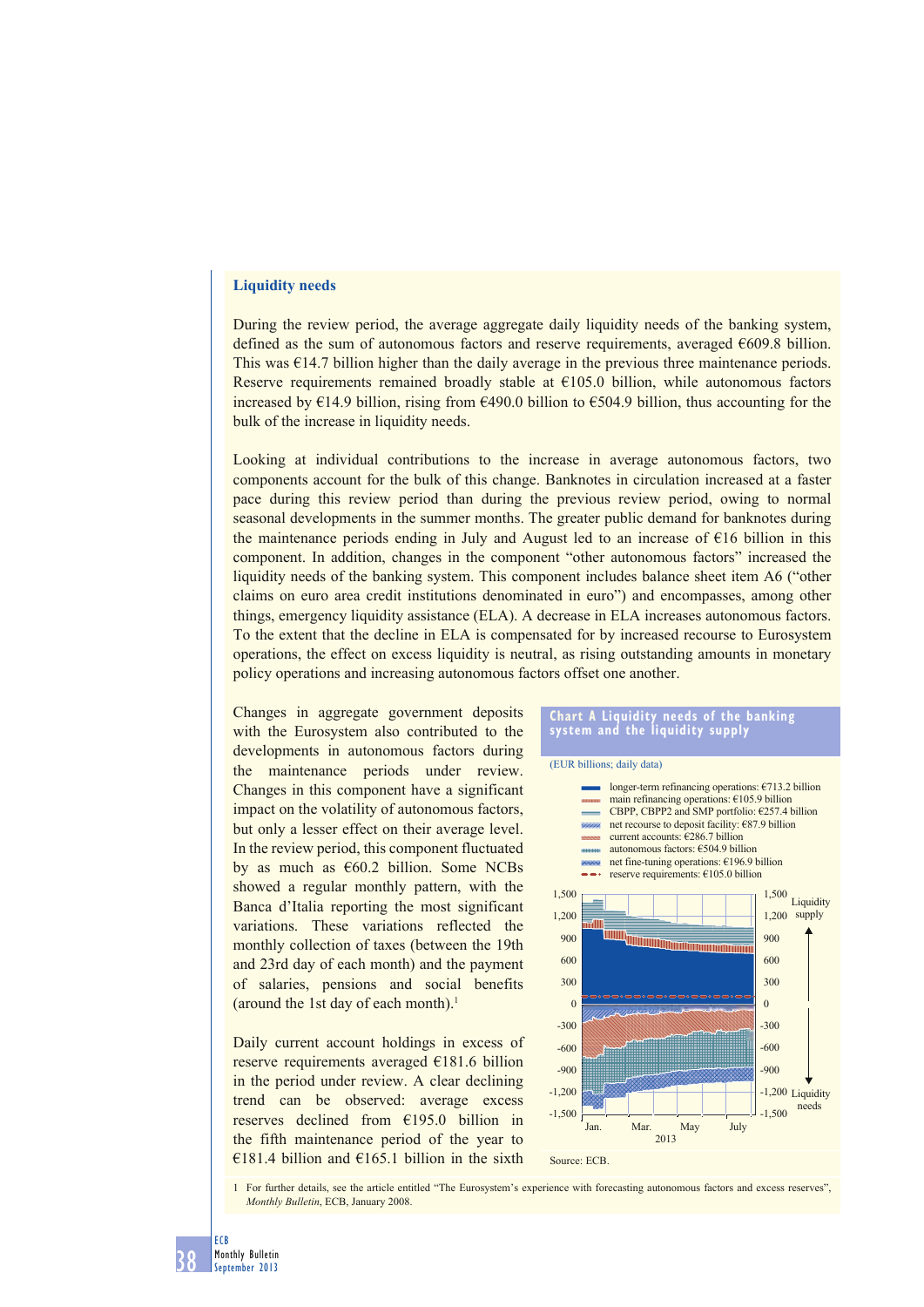## **Liquidity needs**

During the review period, the average aggregate daily liquidity needs of the banking system, defined as the sum of autonomous factors and reserve requirements, averaged  $\epsilon$ 609.8 billion. This was  $\epsilon$ 14.7 billion higher than the daily average in the previous three maintenance periods. Reserve requirements remained broadly stable at €105.0 billion, while autonomous factors increased by  $\epsilon$ 14.9 billion, rising from  $\epsilon$ 490.0 billion to  $\epsilon$ 504.9 billion, thus accounting for the bulk of the increase in liquidity needs.

Looking at individual contributions to the increase in average autonomous factors, two components account for the bulk of this change. Banknotes in circulation increased at a faster pace during this review period than during the previous review period, owing to normal seasonal developments in the summer months. The greater public demand for banknotes during the maintenance periods ending in July and August led to an increase of  $E16$  billion in this component. In addition, changes in the component "other autonomous factors" increased the liquidity needs of the banking system. This component includes balance sheet item A6 ("other claims on euro area credit institutions denominated in euro") and encompasses, among other things, emergency liquidity assistance (ELA). A decrease in ELA increases autonomous factors. To the extent that the decline in ELA is compensated for by increased recourse to Eurosystem operations, the effect on excess liquidity is neutral, as rising outstanding amounts in monetary policy operations and increasing autonomous factors offset one another.

Changes in aggregate government deposits with the Eurosystem also contributed to the developments in autonomous factors during the maintenance periods under review. Changes in this component have a significant impact on the volatility of autonomous factors, but only a lesser effect on their average level. In the review period, this component fluctuated by as much as  $€60.2$  billion. Some NCBs showed a regular monthly pattern, with the Banca d'Italia reporting the most significant variations. These variations reflected the monthly collection of taxes (between the 19th and 23rd day of each month) and the payment of salaries, pensions and social benefits (around the 1st day of each month).<sup>1</sup>

Daily current account holdings in excess of reserve requirements averaged €181.6 billion in the period under review. A clear declining trend can be observed: average excess reserves declined from €195.0 billion in the fifth maintenance period of the year to €181.4 billion and €165.1 billion in the sixth

#### **Chart A Liquidity needs of the banking system and the liquidity supply**



1 For further details, see the article entitled "The Eurosystem's experience with forecasting autonomous factors and excess reserves", *Monthly Bulletin*, ECB, January 2008.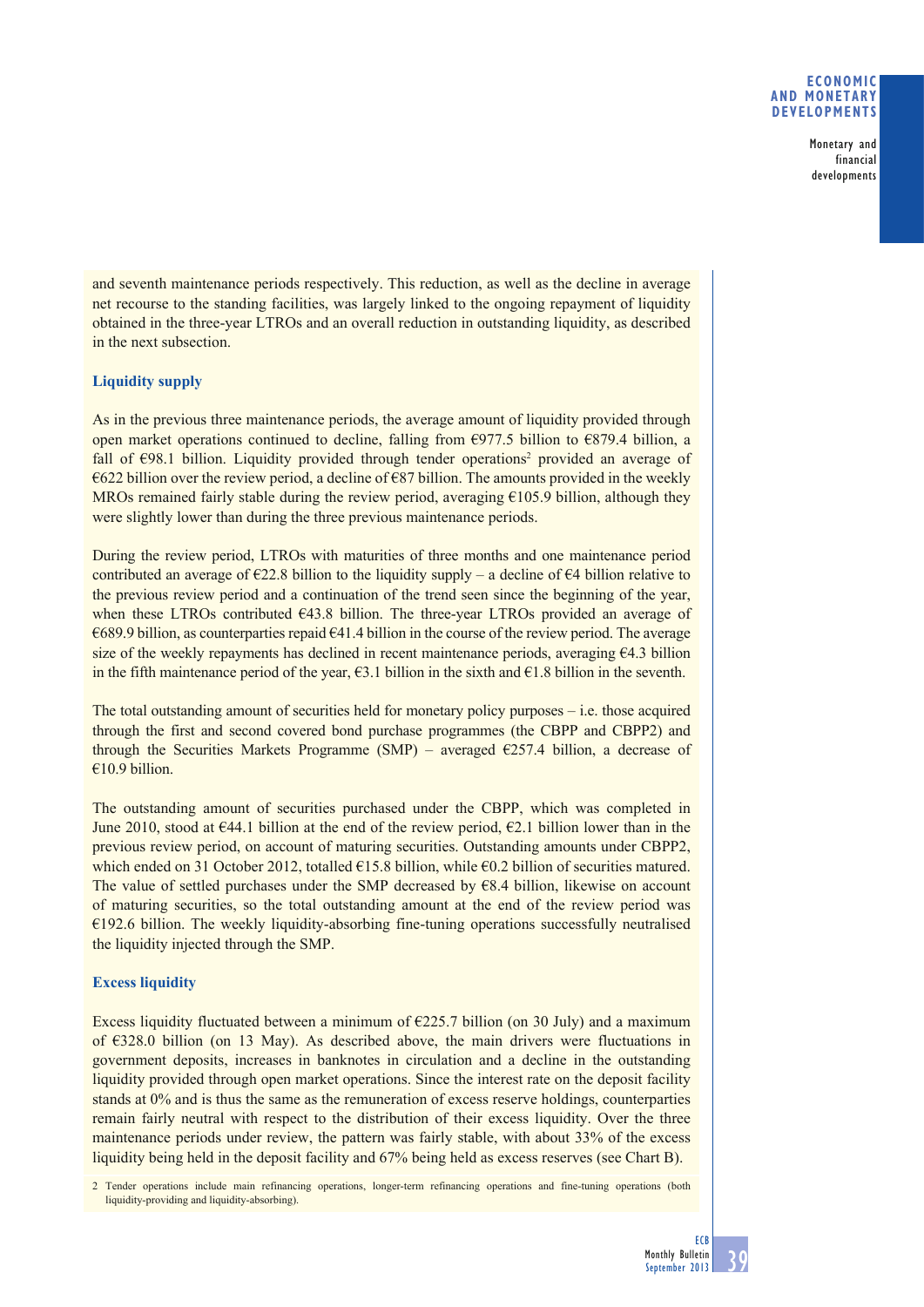## **ECONOMIC AND MONETARY DEVELOPMENTS**

Monetary and financial developments

and seventh maintenance periods respectively. This reduction, as well as the decline in average net recourse to the standing facilities, was largely linked to the ongoing repayment of liquidity obtained in the three-year LTROs and an overall reduction in outstanding liquidity, as described in the next subsection.

# **Liquidity supply**

As in the previous three maintenance periods, the average amount of liquidity provided through open market operations continued to decline, falling from  $\epsilon$ 977.5 billion to  $\epsilon$ 879.4 billion, a fall of  $\epsilon$ 98.1 billion. Liquidity provided through tender operations<sup>2</sup> provided an average of  $\epsilon$ 622 billion over the review period, a decline of  $\epsilon$ 87 billion. The amounts provided in the weekly MROs remained fairly stable during the review period, averaging  $\epsilon$ 105.9 billion, although they were slightly lower than during the three previous maintenance periods.

During the review period, LTROs with maturities of three months and one maintenance period contributed an average of  $\epsilon$ 22.8 billion to the liquidity supply – a decline of  $\epsilon$ 4 billion relative to the previous review period and a continuation of the trend seen since the beginning of the year, when these LTROs contributed €43.8 billion. The three-year LTROs provided an average of €689.9 billion, as counterparties repaid €41.4 billion in the course of the review period. The average size of the weekly repayments has declined in recent maintenance periods, averaging  $64.3$  billion in the fifth maintenance period of the year,  $\epsilon$ 3.1 billion in the sixth and  $\epsilon$ 1.8 billion in the seventh.

The total outstanding amount of securities held for monetary policy purposes – i.e. those acquired through the first and second covered bond purchase programmes (the CBPP and CBPP2) and through the Securities Markets Programme (SMP) – averaged  $\epsilon$ 257.4 billion, a decrease of €10.9 billion.

The outstanding amount of securities purchased under the CBPP, which was completed in June 2010, stood at  $\epsilon$ 44.1 billion at the end of the review period,  $\epsilon$ 2.1 billion lower than in the previous review period, on account of maturing securities. Outstanding amounts under CBPP2, which ended on 31 October 2012, totalled  $E15.8$  billion, while  $E0.2$  billion of securities matured. The value of settled purchases under the SMP decreased by €8.4 billion, likewise on account of maturing securities, so the total outstanding amount at the end of the review period was €192.6 billion. The weekly liquidity-absorbing fine-tuning operations successfully neutralised the liquidity injected through the SMP.

# **Excess liquidity**

Excess liquidity fluctuated between a minimum of  $\epsilon$ 225.7 billion (on 30 July) and a maximum of  $\epsilon$ 328.0 billion (on 13 May). As described above, the main drivers were fluctuations in government deposits, increases in banknotes in circulation and a decline in the outstanding liquidity provided through open market operations. Since the interest rate on the deposit facility stands at 0% and is thus the same as the remuneration of excess reserve holdings, counterparties remain fairly neutral with respect to the distribution of their excess liquidity. Over the three maintenance periods under review, the pattern was fairly stable, with about 33% of the excess liquidity being held in the deposit facility and 67% being held as excess reserves (see Chart B).

2 Tender operations include main refinancing operations, longer-term refinancing operations and fine-tuning operations (both liquidity-providing and liquidity-absorbing).